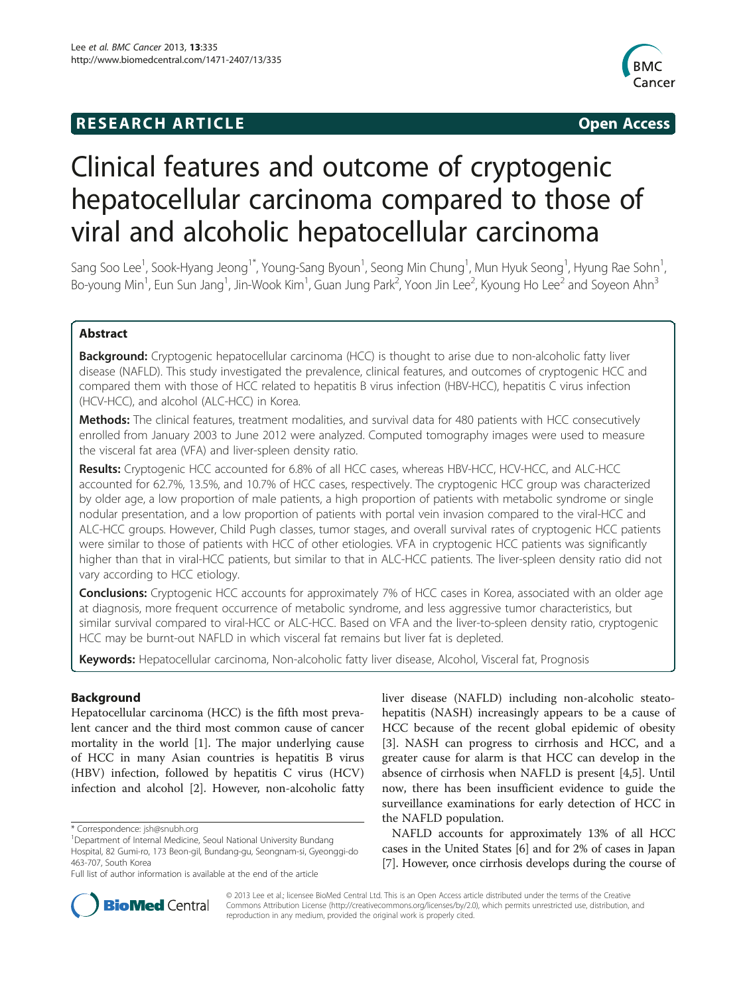# **RESEARCH ARTICLE Example 2014 12:30 The SEAR CHA RTICLE**



# Clinical features and outcome of cryptogenic hepatocellular carcinoma compared to those of viral and alcoholic hepatocellular carcinoma

Sang Soo Lee<sup>1</sup>, Sook-Hyang Jeong<sup>1\*</sup>, Young-Sang Byoun<sup>1</sup>, Seong Min Chung<sup>1</sup>, Mun Hyuk Seong<sup>1</sup>, Hyung Rae Sohn<sup>1</sup> , Bo-young Min<sup>1</sup>, Eun Sun Jang<sup>1</sup>, Jin-Wook Kim<sup>1</sup>, Guan Jung Park<sup>2</sup>, Yoon Jin Lee<sup>2</sup>, Kyoung Ho Lee<sup>2</sup> and Soyeon Ahn<sup>3</sup>

# Abstract

Background: Cryptogenic hepatocellular carcinoma (HCC) is thought to arise due to non-alcoholic fatty liver disease (NAFLD). This study investigated the prevalence, clinical features, and outcomes of cryptogenic HCC and compared them with those of HCC related to hepatitis B virus infection (HBV-HCC), hepatitis C virus infection (HCV-HCC), and alcohol (ALC-HCC) in Korea.

Methods: The clinical features, treatment modalities, and survival data for 480 patients with HCC consecutively enrolled from January 2003 to June 2012 were analyzed. Computed tomography images were used to measure the visceral fat area (VFA) and liver-spleen density ratio.

Results: Cryptogenic HCC accounted for 6.8% of all HCC cases, whereas HBV-HCC, HCV-HCC, and ALC-HCC accounted for 62.7%, 13.5%, and 10.7% of HCC cases, respectively. The cryptogenic HCC group was characterized by older age, a low proportion of male patients, a high proportion of patients with metabolic syndrome or single nodular presentation, and a low proportion of patients with portal vein invasion compared to the viral-HCC and ALC-HCC groups. However, Child Pugh classes, tumor stages, and overall survival rates of cryptogenic HCC patients were similar to those of patients with HCC of other etiologies. VFA in cryptogenic HCC patients was significantly higher than that in viral-HCC patients, but similar to that in ALC-HCC patients. The liver-spleen density ratio did not vary according to HCC etiology.

**Conclusions:** Cryptogenic HCC accounts for approximately 7% of HCC cases in Korea, associated with an older age at diagnosis, more frequent occurrence of metabolic syndrome, and less aggressive tumor characteristics, but similar survival compared to viral-HCC or ALC-HCC. Based on VFA and the liver-to-spleen density ratio, cryptogenic HCC may be burnt-out NAFLD in which visceral fat remains but liver fat is depleted.

Keywords: Hepatocellular carcinoma, Non-alcoholic fatty liver disease, Alcohol, Visceral fat, Prognosis

# Background

Hepatocellular carcinoma (HCC) is the fifth most prevalent cancer and the third most common cause of cancer mortality in the world [[1\]](#page-8-0). The major underlying cause of HCC in many Asian countries is hepatitis B virus (HBV) infection, followed by hepatitis C virus (HCV) infection and alcohol [\[2](#page-8-0)]. However, non-alcoholic fatty liver disease (NAFLD) including non-alcoholic steatohepatitis (NASH) increasingly appears to be a cause of HCC because of the recent global epidemic of obesity [[3\]](#page-8-0). NASH can progress to cirrhosis and HCC, and a greater cause for alarm is that HCC can develop in the absence of cirrhosis when NAFLD is present [\[4,5\]](#page-8-0). Until now, there has been insufficient evidence to guide the surveillance examinations for early detection of HCC in the NAFLD population.

NAFLD accounts for approximately 13% of all HCC cases in the United States [\[6](#page-8-0)] and for 2% of cases in Japan [[7\]](#page-8-0). However, once cirrhosis develops during the course of



© 2013 Lee et al.; licensee BioMed Central Ltd. This is an Open Access article distributed under the terms of the Creative Commons Attribution License [\(http://creativecommons.org/licenses/by/2.0\)](http://creativecommons.org/licenses/by/2.0), which permits unrestricted use, distribution, and reproduction in any medium, provided the original work is properly cited.

<sup>\*</sup> Correspondence: [jsh@snubh.org](mailto:jsh@snubh.org) <sup>1</sup>

Department of Internal Medicine, Seoul National University Bundang Hospital, 82 Gumi-ro, 173 Beon-gil, Bundang-gu, Seongnam-si, Gyeonggi-do 463-707, South Korea

Full list of author information is available at the end of the article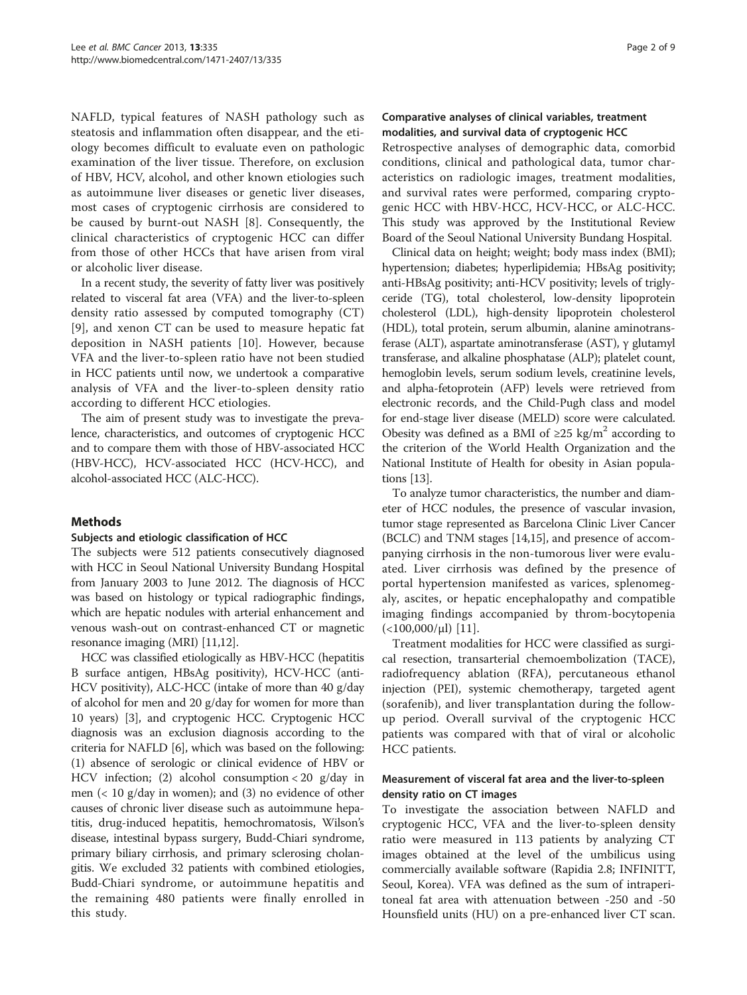NAFLD, typical features of NASH pathology such as steatosis and inflammation often disappear, and the etiology becomes difficult to evaluate even on pathologic examination of the liver tissue. Therefore, on exclusion of HBV, HCV, alcohol, and other known etiologies such as autoimmune liver diseases or genetic liver diseases, most cases of cryptogenic cirrhosis are considered to be caused by burnt-out NASH [[8\]](#page-8-0). Consequently, the clinical characteristics of cryptogenic HCC can differ from those of other HCCs that have arisen from viral or alcoholic liver disease.

In a recent study, the severity of fatty liver was positively related to visceral fat area (VFA) and the liver-to-spleen density ratio assessed by computed tomography (CT) [[9\]](#page-8-0), and xenon CT can be used to measure hepatic fat deposition in NASH patients [\[10](#page-8-0)]. However, because VFA and the liver-to-spleen ratio have not been studied in HCC patients until now, we undertook a comparative analysis of VFA and the liver-to-spleen density ratio according to different HCC etiologies.

The aim of present study was to investigate the prevalence, characteristics, and outcomes of cryptogenic HCC and to compare them with those of HBV-associated HCC (HBV-HCC), HCV-associated HCC (HCV-HCC), and alcohol-associated HCC (ALC-HCC).

# Methods

# Subjects and etiologic classification of HCC

The subjects were 512 patients consecutively diagnosed with HCC in Seoul National University Bundang Hospital from January 2003 to June 2012. The diagnosis of HCC was based on histology or typical radiographic findings, which are hepatic nodules with arterial enhancement and venous wash-out on contrast-enhanced CT or magnetic resonance imaging (MRI) [[11](#page-8-0),[12](#page-8-0)].

HCC was classified etiologically as HBV-HCC (hepatitis B surface antigen, HBsAg positivity), HCV-HCC (anti-HCV positivity), ALC-HCC (intake of more than 40 g/day of alcohol for men and 20 g/day for women for more than 10 years) [[3](#page-8-0)], and cryptogenic HCC. Cryptogenic HCC diagnosis was an exclusion diagnosis according to the criteria for NAFLD [[6\]](#page-8-0), which was based on the following: (1) absence of serologic or clinical evidence of HBV or HCV infection; (2) alcohol consumption < 20 g/day in men (< 10 g/day in women); and (3) no evidence of other causes of chronic liver disease such as autoimmune hepatitis, drug-induced hepatitis, hemochromatosis, Wilson's disease, intestinal bypass surgery, Budd-Chiari syndrome, primary biliary cirrhosis, and primary sclerosing cholangitis. We excluded 32 patients with combined etiologies, Budd-Chiari syndrome, or autoimmune hepatitis and the remaining 480 patients were finally enrolled in this study.

# Comparative analyses of clinical variables, treatment modalities, and survival data of cryptogenic HCC

Retrospective analyses of demographic data, comorbid conditions, clinical and pathological data, tumor characteristics on radiologic images, treatment modalities, and survival rates were performed, comparing cryptogenic HCC with HBV-HCC, HCV-HCC, or ALC-HCC. This study was approved by the Institutional Review Board of the Seoul National University Bundang Hospital.

Clinical data on height; weight; body mass index (BMI); hypertension; diabetes; hyperlipidemia; HBsAg positivity; anti-HBsAg positivity; anti-HCV positivity; levels of triglyceride (TG), total cholesterol, low-density lipoprotein cholesterol (LDL), high-density lipoprotein cholesterol (HDL), total protein, serum albumin, alanine aminotransferase (ALT), aspartate aminotransferase (AST), γ glutamyl transferase, and alkaline phosphatase (ALP); platelet count, hemoglobin levels, serum sodium levels, creatinine levels, and alpha-fetoprotein (AFP) levels were retrieved from electronic records, and the Child-Pugh class and model for end-stage liver disease (MELD) score were calculated. Obesity was defined as a BMI of  $\geq 25$  kg/m<sup>2</sup> according to the criterion of the World Health Organization and the National Institute of Health for obesity in Asian populations [\[13\]](#page-8-0).

To analyze tumor characteristics, the number and diameter of HCC nodules, the presence of vascular invasion, tumor stage represented as Barcelona Clinic Liver Cancer (BCLC) and TNM stages [\[14,15](#page-8-0)], and presence of accompanying cirrhosis in the non-tumorous liver were evaluated. Liver cirrhosis was defined by the presence of portal hypertension manifested as varices, splenomegaly, ascites, or hepatic encephalopathy and compatible imaging findings accompanied by throm-bocytopenia  $(<100,000/\mu$ ] [[11\]](#page-8-0).

Treatment modalities for HCC were classified as surgical resection, transarterial chemoembolization (TACE), radiofrequency ablation (RFA), percutaneous ethanol injection (PEI), systemic chemotherapy, targeted agent (sorafenib), and liver transplantation during the followup period. Overall survival of the cryptogenic HCC patients was compared with that of viral or alcoholic HCC patients.

# Measurement of visceral fat area and the liver-to-spleen density ratio on CT images

To investigate the association between NAFLD and cryptogenic HCC, VFA and the liver-to-spleen density ratio were measured in 113 patients by analyzing CT images obtained at the level of the umbilicus using commercially available software (Rapidia 2.8; INFINITT, Seoul, Korea). VFA was defined as the sum of intraperitoneal fat area with attenuation between -250 and -50 Hounsfield units (HU) on a pre-enhanced liver CT scan.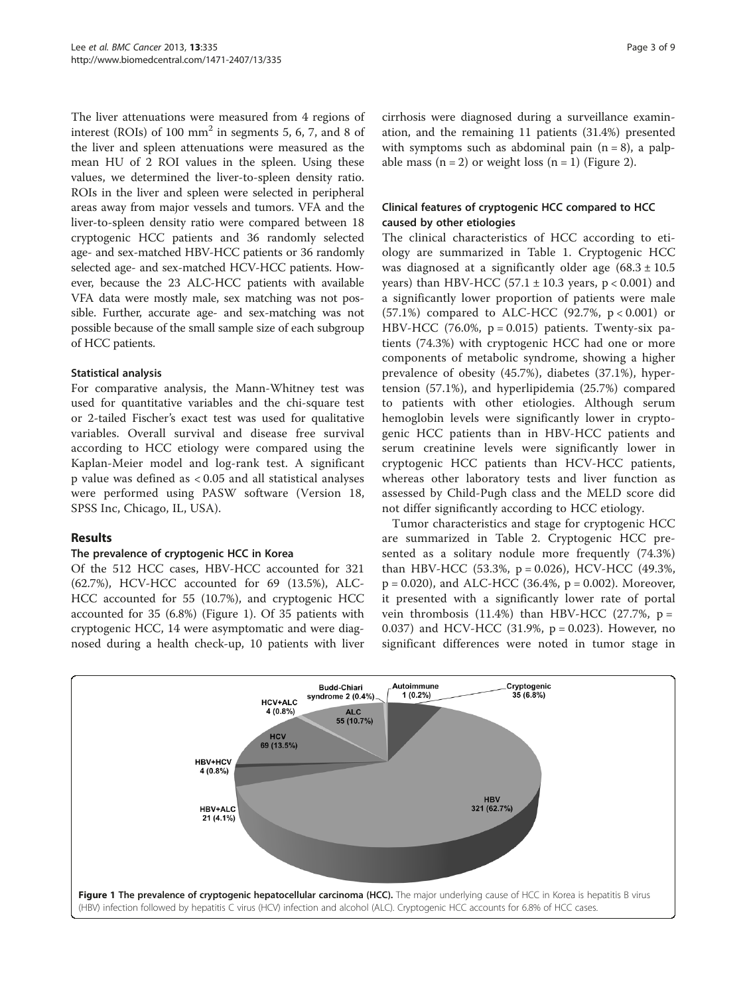The liver attenuations were measured from 4 regions of interest (ROIs) of 100  $mm<sup>2</sup>$  in segments 5, 6, 7, and 8 of the liver and spleen attenuations were measured as the mean HU of 2 ROI values in the spleen. Using these values, we determined the liver-to-spleen density ratio. ROIs in the liver and spleen were selected in peripheral areas away from major vessels and tumors. VFA and the liver-to-spleen density ratio were compared between 18 cryptogenic HCC patients and 36 randomly selected age- and sex-matched HBV-HCC patients or 36 randomly selected age- and sex-matched HCV-HCC patients. However, because the 23 ALC-HCC patients with available VFA data were mostly male, sex matching was not possible. Further, accurate age- and sex-matching was not possible because of the small sample size of each subgroup of HCC patients.

# Statistical analysis

For comparative analysis, the Mann-Whitney test was used for quantitative variables and the chi-square test or 2-tailed Fischer's exact test was used for qualitative variables. Overall survival and disease free survival according to HCC etiology were compared using the Kaplan-Meier model and log-rank test. A significant p value was defined as < 0.05 and all statistical analyses were performed using PASW software (Version 18, SPSS Inc, Chicago, IL, USA).

# Results

# The prevalence of cryptogenic HCC in Korea

Of the 512 HCC cases, HBV-HCC accounted for 321 (62.7%), HCV-HCC accounted for 69 (13.5%), ALC-HCC accounted for 55 (10.7%), and cryptogenic HCC accounted for 35 (6.8%) (Figure 1). Of 35 patients with cryptogenic HCC, 14 were asymptomatic and were diagnosed during a health check-up, 10 patients with liver

cirrhosis were diagnosed during a surveillance examination, and the remaining 11 patients (31.4%) presented with symptoms such as abdominal pain  $(n = 8)$ , a palpable mass  $(n = 2)$  $(n = 2)$  $(n = 2)$  or weight loss  $(n = 1)$  (Figure 2).

# Clinical features of cryptogenic HCC compared to HCC caused by other etiologies

The clinical characteristics of HCC according to etiology are summarized in Table [1.](#page-3-0) Cryptogenic HCC was diagnosed at a significantly older age  $(68.3 \pm 10.5$ years) than HBV-HCC (57.1  $\pm$  10.3 years, p < 0.001) and a significantly lower proportion of patients were male (57.1%) compared to ALC-HCC (92.7%,  $p < 0.001$ ) or HBV-HCC (76.0%,  $p = 0.015$ ) patients. Twenty-six patients (74.3%) with cryptogenic HCC had one or more components of metabolic syndrome, showing a higher prevalence of obesity (45.7%), diabetes (37.1%), hypertension (57.1%), and hyperlipidemia (25.7%) compared to patients with other etiologies. Although serum hemoglobin levels were significantly lower in cryptogenic HCC patients than in HBV-HCC patients and serum creatinine levels were significantly lower in cryptogenic HCC patients than HCV-HCC patients, whereas other laboratory tests and liver function as assessed by Child-Pugh class and the MELD score did not differ significantly according to HCC etiology.

Tumor characteristics and stage for cryptogenic HCC are summarized in Table [2.](#page-4-0) Cryptogenic HCC presented as a solitary nodule more frequently (74.3%) than HBV-HCC (53.3%, p = 0.026), HCV-HCC (49.3%, p = 0.020), and ALC-HCC (36.4%, p = 0.002). Moreover, it presented with a significantly lower rate of portal vein thrombosis  $(11.4%)$  than HBV-HCC  $(27.7%)$ , p = 0.037) and HCV-HCC (31.9%,  $p = 0.023$ ). However, no significant differences were noted in tumor stage in

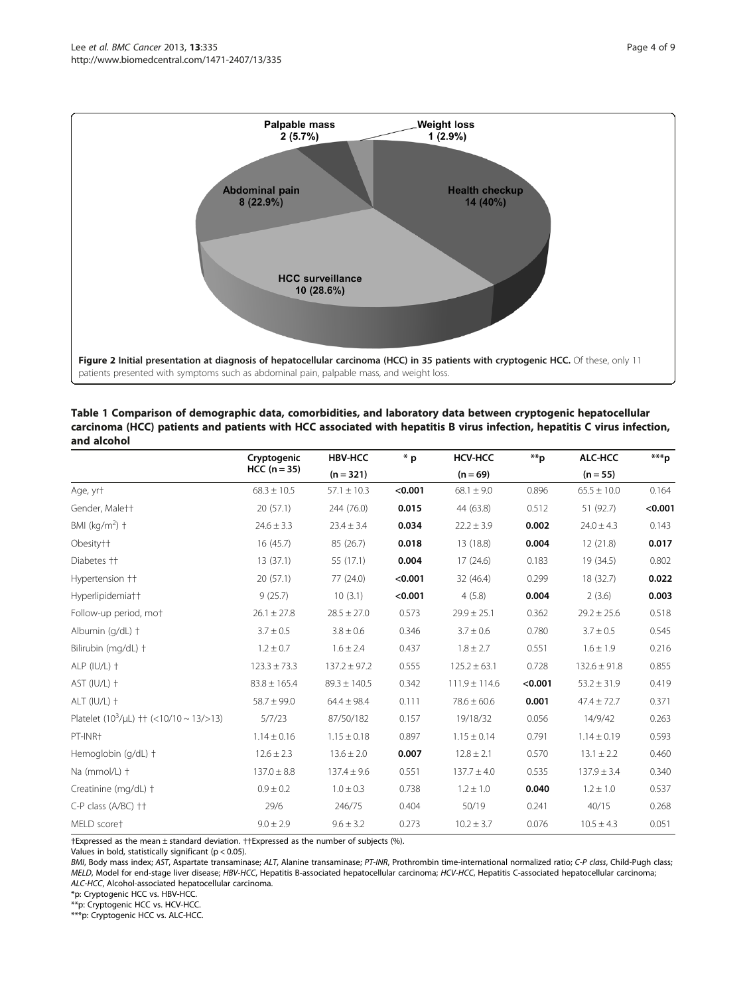<span id="page-3-0"></span>

| Table 1 Comparison of demographic data, comorbidities, and laboratory data between cryptogenic hepatocellular            |
|--------------------------------------------------------------------------------------------------------------------------|
| carcinoma (HCC) patients and patients with HCC associated with hepatitis B virus infection, hepatitis C virus infection, |
| and alcohol                                                                                                              |

|                                                 | Cryptogenic<br>$HCC (n = 35)$ | $*$ p<br><b>HBV-HCC</b> |         | <b>HCV-HCC</b>    | $*$ p   | <b>ALC-HCC</b>   | $*** p$ |
|-------------------------------------------------|-------------------------------|-------------------------|---------|-------------------|---------|------------------|---------|
|                                                 |                               | $(n = 321)$             |         | $(n = 69)$        |         | $(n = 55)$       |         |
| Age, yrt                                        | $68.3 \pm 10.5$               | $57.1 \pm 10.3$         | < 0.001 | $68.1 \pm 9.0$    | 0.896   | $65.5 \pm 10.0$  | 0.164   |
| Gender, Malett                                  | 20(57.1)                      | 244 (76.0)              | 0.015   | 44 (63.8)         | 0.512   | 51 (92.7)        | < 0.001 |
| BMI ( $kg/m2$ ) +                               | $24.6 \pm 3.3$                | $23.4 \pm 3.4$          | 0.034   | $22.2 \pm 3.9$    | 0.002   | $24.0 \pm 4.3$   | 0.143   |
| Obesity <sup>++</sup>                           | 16(45.7)                      | 85 (26.7)               | 0.018   | 13 (18.8)         | 0.004   | 12 (21.8)        | 0.017   |
| Diabetes <sup>++</sup>                          | 13(37.1)                      | 55 (17.1)               | 0.004   | 17 (24.6)         | 0.183   | 19 (34.5)        | 0.802   |
| Hypertension ††                                 | 20(57.1)                      | 77 (24.0)               | < 0.001 | 32 (46.4)         | 0.299   | 18 (32.7)        | 0.022   |
| Hyperlipidemiatt                                | 9(25.7)                       | 10(3.1)                 | < 0.001 | 4(5.8)            | 0.004   | 2(3.6)           | 0.003   |
| Follow-up period, mot                           | $26.1 \pm 27.8$               | $28.5 \pm 27.0$         | 0.573   | $29.9 \pm 25.1$   | 0.362   | $29.2 \pm 25.6$  | 0.518   |
| Albumin (g/dL) +                                | $3.7 \pm 0.5$                 | $3.8 \pm 0.6$           | 0.346   | $3.7 \pm 0.6$     | 0.780   | $3.7 \pm 0.5$    | 0.545   |
| Bilirubin (mg/dL) +                             | $1.2 \pm 0.7$                 | $1.6 \pm 2.4$           | 0.437   | $1.8 \pm 2.7$     | 0.551   | $1.6 \pm 1.9$    | 0.216   |
| ALP (IU/L) +                                    | $123.3 \pm 73.3$              | $137.2 \pm 97.2$        | 0.555   | $125.2 \pm 63.1$  | 0.728   | $132.6 \pm 91.8$ | 0.855   |
| AST (IU/L) $\dagger$                            | $83.8 \pm 165.4$              | $89.3 \pm 140.5$        | 0.342   | $111.9 \pm 114.6$ | < 0.001 | $53.2 \pm 31.9$  | 0.419   |
| ALT (IU/L) †                                    | $58.7 \pm 99.0$               | $64.4 \pm 98.4$         | 0.111   | $78.6 \pm 60.6$   | 0.001   | $47.4 \pm 72.7$  | 0.371   |
| Platelet $(10^3/\mu L)$ + $($ < 10/10 ~ 13/>13) | 5/7/23                        | 87/50/182               | 0.157   | 19/18/32          | 0.056   | 14/9/42          | 0.263   |
| PT-INR+                                         | $1.14 \pm 0.16$               | $1.15 \pm 0.18$         | 0.897   | $1.15 \pm 0.14$   | 0.791   | $1.14 \pm 0.19$  | 0.593   |
| Hemoglobin (g/dL) +                             | $12.6 \pm 2.3$                | $13.6 \pm 2.0$          | 0.007   | $12.8 \pm 2.1$    | 0.570   | $13.1 \pm 2.2$   | 0.460   |
| Na (mmol/L) +                                   | $137.0 \pm 8.8$               | $137.4 \pm 9.6$         | 0.551   | $137.7 \pm 4.0$   | 0.535   | $137.9 \pm 3.4$  | 0.340   |
| Creatinine (mg/dL) +                            | $0.9 \pm 0.2$                 | $1.0 \pm 0.3$           | 0.738   | $1.2 \pm 1.0$     | 0.040   | $1.2 \pm 1.0$    | 0.537   |
| $C-P$ class (A/BC) $\uparrow\uparrow$           | 29/6                          | 246/75                  | 0.404   | 50/19             | 0.241   | 40/15            | 0.268   |
| MELD scoret                                     | $9.0 \pm 2.9$                 | $9.6 \pm 3.2$           | 0.273   | $10.2 \pm 3.7$    | 0.076   | $10.5 \pm 4.3$   | 0.051   |

†Expressed as the mean ± standard deviation. ††Expressed as the number of subjects (%).

Values in bold, statistically significant (p < 0.05).

BMI, Body mass index; AST, Aspartate transaminase; ALT, Alanine transaminase; PT-INR, Prothrombin time-international normalized ratio; C-P class, Child-Pugh class; MELD, Model for end-stage liver disease; HBV-HCC, Hepatitis B-associated hepatocellular carcinoma; HCV-HCC, Hepatitis C-associated hepatocellular carcinoma; ALC-HCC, Alcohol-associated hepatocellular carcinoma.

\*p: Cryptogenic HCC vs. HBV-HCC.

\*\*p: Cryptogenic HCC vs. HCV-HCC.

\*\*\*p: Cryptogenic HCC vs. ALC-HCC.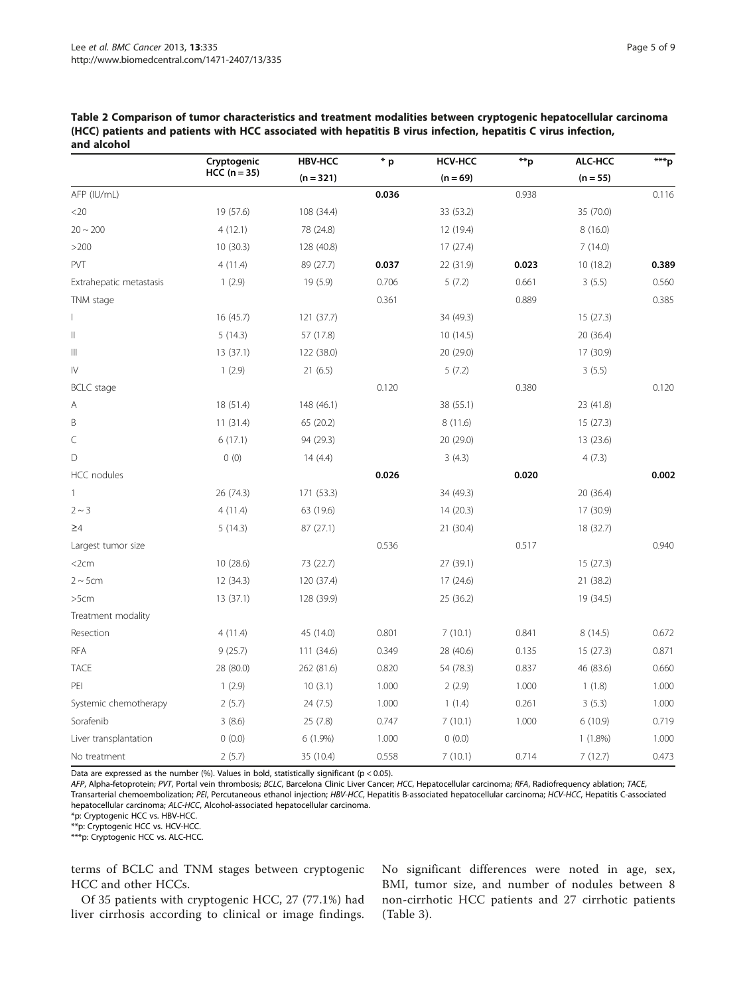<span id="page-4-0"></span>

| Table 2 Comparison of tumor characteristics and treatment modalities between cryptogenic hepatocellular carcinoma |
|-------------------------------------------------------------------------------------------------------------------|
| (HCC) patients and patients with HCC associated with hepatitis B virus infection, hepatitis C virus infection,    |
| and alcohol                                                                                                       |

|                         | Cryptogenic<br>$HCC (n = 35)$ |             | HBV-HCC | $*$ p      | HCV-HCC | $*$ p      | ALC-HCC | ***p |
|-------------------------|-------------------------------|-------------|---------|------------|---------|------------|---------|------|
|                         |                               | $(n = 321)$ |         | $(n = 69)$ |         | $(n = 55)$ |         |      |
| AFP (IU/mL)             |                               |             | 0.036   |            | 0.938   |            | 0.116   |      |
| $<$ 20                  | 19 (57.6)                     | 108 (34.4)  |         | 33 (53.2)  |         | 35 (70.0)  |         |      |
| $20 \sim 200$           | 4(12.1)                       | 78 (24.8)   |         | 12 (19.4)  |         | 8(16.0)    |         |      |
| >200                    | 10(30.3)                      | 128 (40.8)  |         | 17(27.4)   |         | 7(14.0)    |         |      |
| PVT                     | 4(11.4)                       | 89 (27.7)   | 0.037   | 22 (31.9)  | 0.023   | 10 (18.2)  | 0.389   |      |
| Extrahepatic metastasis | 1(2.9)                        | 19 (5.9)    | 0.706   | 5(7.2)     | 0.661   | 3(5.5)     | 0.560   |      |
| TNM stage               |                               |             | 0.361   |            | 0.889   |            | 0.385   |      |
| $\mathbf{I}$            | 16 (45.7)                     | 121 (37.7)  |         | 34 (49.3)  |         | 15 (27.3)  |         |      |
| $\vert\vert$            | 5(14.3)                       | 57 (17.8)   |         | 10(14.5)   |         | 20 (36.4)  |         |      |
| $\  \ $                 | 13 (37.1)                     | 122 (38.0)  |         | 20 (29.0)  |         | 17 (30.9)  |         |      |
| IV                      | 1(2.9)                        | 21(6.5)     |         | 5(7.2)     |         | 3(5.5)     |         |      |
| <b>BCLC</b> stage       |                               |             | 0.120   |            | 0.380   |            | 0.120   |      |
| Α                       | 18 (51.4)                     | 148 (46.1)  |         | 38 (55.1)  |         | 23 (41.8)  |         |      |
| B                       | 11(31.4)                      | 65 (20.2)   |         | 8(11.6)    |         | 15(27.3)   |         |      |
| $\subset$               | 6(17.1)                       | 94 (29.3)   |         | 20 (29.0)  |         | 13 (23.6)  |         |      |
| D                       | 0(0)                          | 14(4.4)     |         | 3(4.3)     |         | 4(7.3)     |         |      |
| HCC nodules             |                               |             | 0.026   |            | 0.020   |            | 0.002   |      |
| 1                       | 26 (74.3)                     | 171 (53.3)  |         | 34 (49.3)  |         | 20 (36.4)  |         |      |
| $2 \sim 3$              | 4(11.4)                       | 63 (19.6)   |         | 14(20.3)   |         | 17 (30.9)  |         |      |
| $\geq 4$                | 5(14.3)                       | 87 (27.1)   |         | 21 (30.4)  |         | 18 (32.7)  |         |      |
| Largest tumor size      |                               |             | 0.536   |            | 0.517   |            | 0.940   |      |
| $<$ 2 $cm$              | 10(28.6)                      | 73 (22.7)   |         | 27 (39.1)  |         | 15(27.3)   |         |      |
| $2 \sim 5$ cm           | 12 (34.3)                     | 120 (37.4)  |         | 17 (24.6)  |         | 21 (38.2)  |         |      |
| >5cm                    | 13(37.1)                      | 128 (39.9)  |         | 25 (36.2)  |         | 19 (34.5)  |         |      |
| Treatment modality      |                               |             |         |            |         |            |         |      |
| Resection               | 4(11.4)                       | 45 (14.0)   | 0.801   | 7(10.1)    | 0.841   | 8(14.5)    | 0.672   |      |
| <b>RFA</b>              | 9(25.7)                       | 111 (34.6)  | 0.349   | 28 (40.6)  | 0.135   | 15(27.3)   | 0.871   |      |
| <b>TACE</b>             | 28 (80.0)                     | 262 (81.6)  | 0.820   | 54 (78.3)  | 0.837   | 46 (83.6)  | 0.660   |      |
| PEI                     | 1(2.9)                        | 10(3.1)     | 1.000   | 2(2.9)     | 1.000   | 1(1.8)     | 1.000   |      |
| Systemic chemotherapy   | 2(5.7)                        | 24(7.5)     | 1.000   | 1(1.4)     | 0.261   | 3(5.3)     | 1.000   |      |
| Sorafenib               | 3(8.6)                        | 25(7.8)     | 0.747   | 7(10.1)    | 1.000   | 6(10.9)    | 0.719   |      |
| Liver transplantation   | 0(0.0)                        | $6(1.9\%)$  | 1.000   | 0(0.0)     |         | $1(1.8\%)$ | 1.000   |      |
| No treatment            | 2(5.7)                        | 35 (10.4)   | 0.558   | 7(10.1)    | 0.714   | 7(12.7)    | 0.473   |      |

Data are expressed as the number (%). Values in bold, statistically significant ( $p < 0.05$ ).

AFP, Alpha-fetoprotein; PVT, Portal vein thrombosis; BCLC, Barcelona Clinic Liver Cancer; HCC, Hepatocellular carcinoma; RFA, Radiofrequency ablation; TACE, Transarterial chemoembolization; PEI, Percutaneous ethanol injection; HBV-HCC, Hepatitis B-associated hepatocellular carcinoma; HCV-HCC, Hepatitis C-associated hepatocellular carcinoma; ALC-HCC, Alcohol-associated hepatocellular carcinoma.

\*p: Cryptogenic HCC vs. HBV-HCC.

\*\*p: Cryptogenic HCC vs. HCV-HCC.

\*\*\*p: Cryptogenic HCC vs. ALC-HCC.

terms of BCLC and TNM stages between cryptogenic HCC and other HCCs.

Of 35 patients with cryptogenic HCC, 27 (77.1%) had liver cirrhosis according to clinical or image findings.

No significant differences were noted in age, sex, BMI, tumor size, and number of nodules between 8 non-cirrhotic HCC patients and 27 cirrhotic patients (Table [3\)](#page-5-0).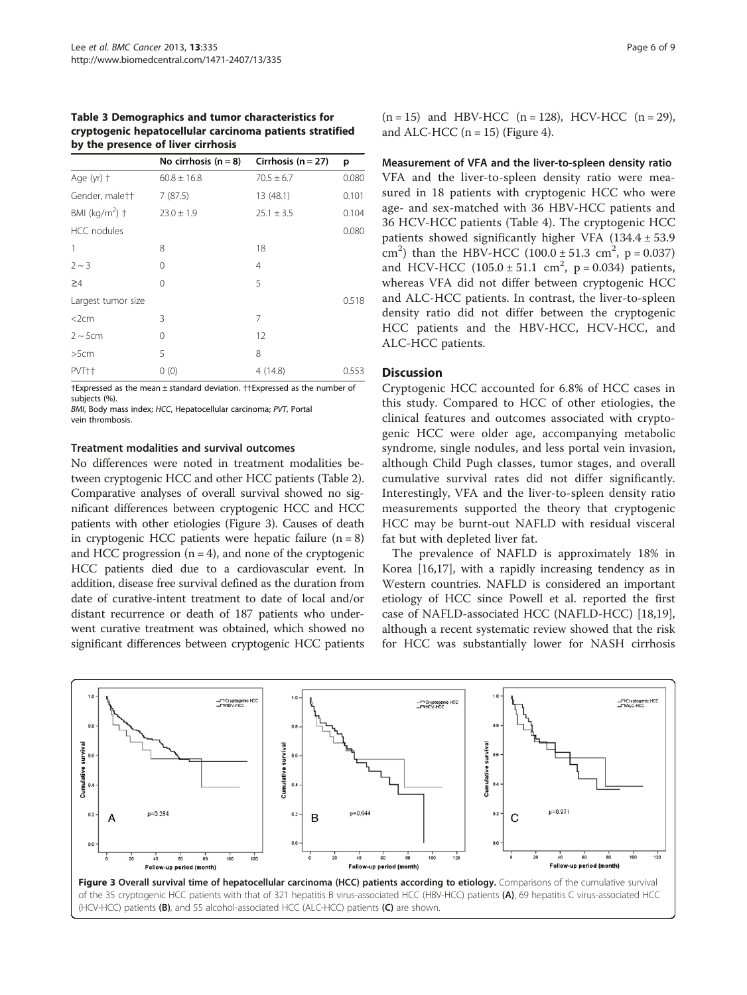<span id="page-5-0"></span>

| Table 3 Demographics and tumor characteristics for       |
|----------------------------------------------------------|
| cryptogenic hepatocellular carcinoma patients stratified |
| by the presence of liver cirrhosis                       |

|                    | No cirrhosis $(n = 8)$ | Cirrhosis ( $n = 27$ ) | p     |
|--------------------|------------------------|------------------------|-------|
| Age (yr) +         | $60.8 \pm 16.8$        | $70.5 \pm 6.7$         | 0.080 |
| Gender, malett     | 7(87.5)                | 13 (48.1)              | 0.101 |
| BMI ( $kg/m2$ ) +  | $23.0 \pm 1.9$         | $25.1 \pm 3.5$         | 0.104 |
| HCC nodules        |                        |                        | 0.080 |
| 1                  | 8                      | 18                     |       |
| $2 \sim 3$         | 0                      | 4                      |       |
| $\geq 4$           | $\Omega$               | 5                      |       |
| Largest tumor size |                        |                        | 0.518 |
| $<$ 2 $cm$         | 3                      | 7                      |       |
| $2 \sim 5$ cm      | $\Omega$               | 12                     |       |
| >5cm               | 5                      | 8                      |       |
| PVT++              | 0(0)                   | 4 (14.8)               | 0.553 |

†Expressed as the mean ± standard deviation. ††Expressed as the number of subjects (%).

BMI, Body mass index; HCC, Hepatocellular carcinoma; PVT, Portal vein thrombosis.

#### Treatment modalities and survival outcomes

No differences were noted in treatment modalities between cryptogenic HCC and other HCC patients (Table [2](#page-4-0)). Comparative analyses of overall survival showed no significant differences between cryptogenic HCC and HCC patients with other etiologies (Figure 3). Causes of death in cryptogenic HCC patients were hepatic failure  $(n = 8)$ and HCC progression  $(n = 4)$ , and none of the cryptogenic HCC patients died due to a cardiovascular event. In addition, disease free survival defined as the duration from date of curative-intent treatment to date of local and/or distant recurrence or death of 187 patients who underwent curative treatment was obtained, which showed no significant differences between cryptogenic HCC patients

 $(n = 15)$  and HBV-HCC  $(n = 128)$ , HCV-HCC  $(n = 29)$ , and ALC-HCC ( $n = 15$ ) (Figure [4\)](#page-6-0).

Measurement of VFA and the liver-to-spleen density ratio VFA and the liver-to-spleen density ratio were measured in 18 patients with cryptogenic HCC who were age- and sex-matched with 36 HBV-HCC patients and 36 HCV-HCC patients (Table [4](#page-6-0)). The cryptogenic HCC patients showed significantly higher VFA (134.4 ± 53.9 cm<sup>2</sup>) than the HBV-HCC  $(100.0 \pm 51.3 \text{ cm}^2, \text{ p} = 0.037)$ and HCV-HCC  $(105.0 \pm 51.1 \text{ cm}^2, \text{ p} = 0.034)$  patients, whereas VFA did not differ between cryptogenic HCC and ALC-HCC patients. In contrast, the liver-to-spleen density ratio did not differ between the cryptogenic HCC patients and the HBV-HCC, HCV-HCC, and ALC-HCC patients.

# **Discussion**

Cryptogenic HCC accounted for 6.8% of HCC cases in this study. Compared to HCC of other etiologies, the clinical features and outcomes associated with cryptogenic HCC were older age, accompanying metabolic syndrome, single nodules, and less portal vein invasion, although Child Pugh classes, tumor stages, and overall cumulative survival rates did not differ significantly. Interestingly, VFA and the liver-to-spleen density ratio measurements supported the theory that cryptogenic HCC may be burnt-out NAFLD with residual visceral fat but with depleted liver fat.

The prevalence of NAFLD is approximately 18% in Korea [\[16,17](#page-8-0)], with a rapidly increasing tendency as in Western countries. NAFLD is considered an important etiology of HCC since Powell et al. reported the first case of NAFLD-associated HCC (NAFLD-HCC) [\[18,19](#page-8-0)], although a recent systematic review showed that the risk for HCC was substantially lower for NASH cirrhosis

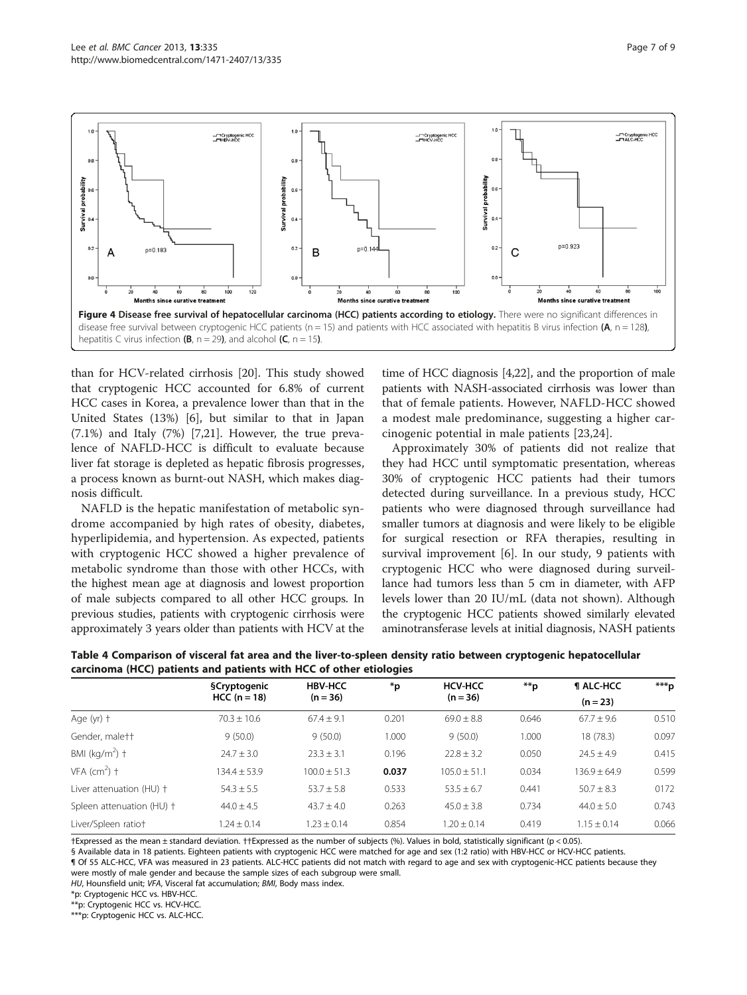<span id="page-6-0"></span>

than for HCV-related cirrhosis [[20\]](#page-8-0). This study showed that cryptogenic HCC accounted for 6.8% of current HCC cases in Korea, a prevalence lower than that in the United States (13%) [\[6](#page-8-0)], but similar to that in Japan (7.1%) and Italy (7%) [\[7](#page-8-0),[21](#page-8-0)]. However, the true prevalence of NAFLD-HCC is difficult to evaluate because liver fat storage is depleted as hepatic fibrosis progresses, a process known as burnt-out NASH, which makes diagnosis difficult.

NAFLD is the hepatic manifestation of metabolic syndrome accompanied by high rates of obesity, diabetes, hyperlipidemia, and hypertension. As expected, patients with cryptogenic HCC showed a higher prevalence of metabolic syndrome than those with other HCCs, with the highest mean age at diagnosis and lowest proportion of male subjects compared to all other HCC groups. In previous studies, patients with cryptogenic cirrhosis were approximately 3 years older than patients with HCV at the time of HCC diagnosis [\[4,22\]](#page-8-0), and the proportion of male patients with NASH-associated cirrhosis was lower than that of female patients. However, NAFLD-HCC showed a modest male predominance, suggesting a higher carcinogenic potential in male patients [[23,24\]](#page-8-0).

Approximately 30% of patients did not realize that they had HCC until symptomatic presentation, whereas 30% of cryptogenic HCC patients had their tumors detected during surveillance. In a previous study, HCC patients who were diagnosed through surveillance had smaller tumors at diagnosis and were likely to be eligible for surgical resection or RFA therapies, resulting in survival improvement [\[6](#page-8-0)]. In our study, 9 patients with cryptogenic HCC who were diagnosed during surveillance had tumors less than 5 cm in diameter, with AFP levels lower than 20 IU/mL (data not shown). Although the cryptogenic HCC patients showed similarly elevated aminotransferase levels at initial diagnosis, NASH patients

Table 4 Comparison of visceral fat area and the liver-to-spleen density ratio between cryptogenic hepatocellular carcinoma (HCC) patients and patients with HCC of other etiologies

|                                  | <b>§Cryptogenic</b><br>$HCC (n = 18)$ | <b>HBV-HCC</b><br>$(n = 36)$ | *p    | <b>HCV-HCC</b><br>$(n = 36)$ | $*$ p | <b>1 ALC-HCC</b> | $A***p$ |
|----------------------------------|---------------------------------------|------------------------------|-------|------------------------------|-------|------------------|---------|
|                                  |                                       |                              |       |                              |       | $(n = 23)$       |         |
| Age $(yr)$ †                     | $70.3 + 10.6$                         | $67.4 + 9.1$                 | 0.201 | $69.0 \pm 8.8$               | 0.646 | $67.7 \pm 9.6$   | 0.510   |
| Gender, malett                   | 9(50.0)                               | 9(50.0)                      | 1.000 | 9(50.0)                      | 1.000 | 18 (78.3)        | 0.097   |
| BMI ( $kg/m2$ ) †                | $24.7 \pm 3.0$                        | $23.3 \pm 3.1$               | 0.196 | $22.8 \pm 3.2$               | 0.050 | $24.5 \pm 4.9$   | 0.415   |
| VFA ( $cm2$ ) +                  | $134.4 \pm 53.9$                      | $100.0 \pm 51.3$             | 0.037 | $105.0 \pm 51.1$             | 0.034 | $136.9 \pm 64.9$ | 0.599   |
| Liver attenuation (HU) $\dagger$ | $54.3 \pm 5.5$                        | $53.7 \pm 5.8$               | 0.533 | $53.5 \pm 6.7$               | 0.441 | $50.7 \pm 8.3$   | 0172    |
| Spleen attenuation (HU) +        | $44.0 \pm 4.5$                        | $43.7 + 4.0$                 | 0.263 | $45.0 \pm 3.8$               | 0.734 | $44.0 + 5.0$     | 0.743   |
| Liver/Spleen ratio†              | $.24 + 0.14$                          | $1.23 \pm 0.14$              | 0.854 | $.20 + 0.14$                 | 0.419 | $1.15 + 0.14$    | 0.066   |

†Expressed as the mean ± standard deviation. ††Expressed as the number of subjects (%). Values in bold, statistically significant (p < 0.05).

§ Available data in 18 patients. Eighteen patients with cryptogenic HCC were matched for age and sex (1:2 ratio) with HBV-HCC or HCV-HCC patients.

¶ Of 55 ALC-HCC, VFA was measured in 23 patients. ALC-HCC patients did not match with regard to age and sex with cryptogenic-HCC patients because they were mostly of male gender and because the sample sizes of each subgroup were small.

HU, Hounsfield unit; VFA, Visceral fat accumulation; BMI, Body mass index.

\*p: Cryptogenic HCC vs. HBV-HCC.

\*\*p: Cryptogenic HCC vs. HCV-HCC.

\*\*\*p: Cryptogenic HCC vs. ALC-HCC.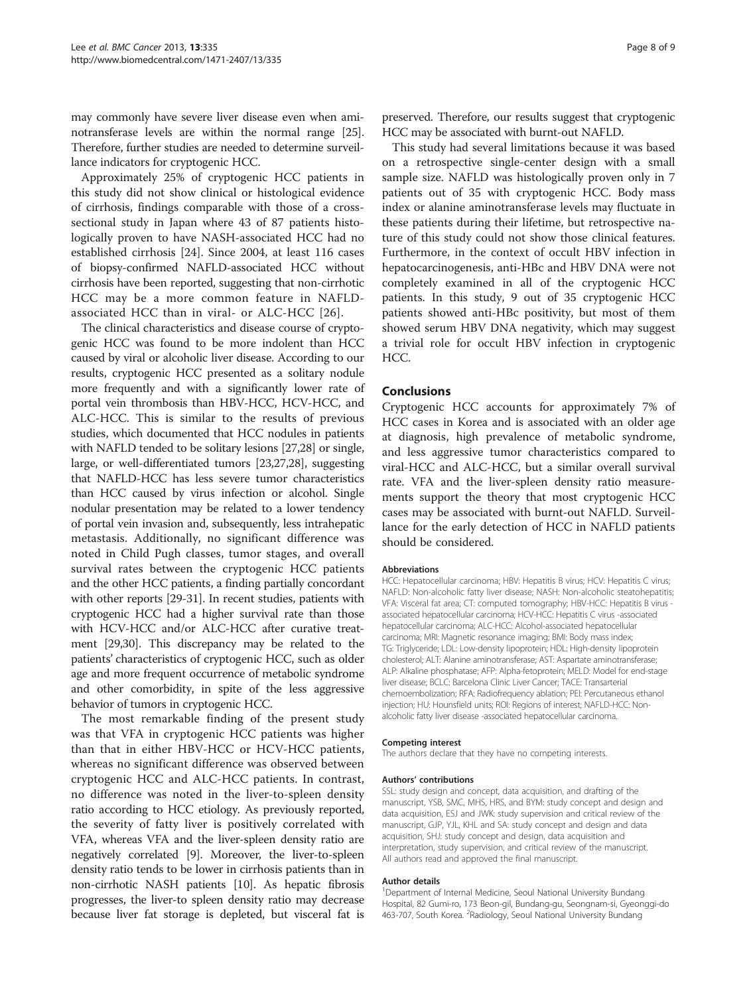may commonly have severe liver disease even when aminotransferase levels are within the normal range [[25](#page-8-0)]. Therefore, further studies are needed to determine surveillance indicators for cryptogenic HCC.

Approximately 25% of cryptogenic HCC patients in this study did not show clinical or histological evidence of cirrhosis, findings comparable with those of a crosssectional study in Japan where 43 of 87 patients histologically proven to have NASH-associated HCC had no established cirrhosis [\[24\]](#page-8-0). Since 2004, at least 116 cases of biopsy-confirmed NAFLD-associated HCC without cirrhosis have been reported, suggesting that non-cirrhotic HCC may be a more common feature in NAFLDassociated HCC than in viral- or ALC-HCC [[26](#page-8-0)].

The clinical characteristics and disease course of cryptogenic HCC was found to be more indolent than HCC caused by viral or alcoholic liver disease. According to our results, cryptogenic HCC presented as a solitary nodule more frequently and with a significantly lower rate of portal vein thrombosis than HBV-HCC, HCV-HCC, and ALC-HCC. This is similar to the results of previous studies, which documented that HCC nodules in patients with NAFLD tended to be solitary lesions [\[27,28\]](#page-8-0) or single, large, or well-differentiated tumors [[23,27,28\]](#page-8-0), suggesting that NAFLD-HCC has less severe tumor characteristics than HCC caused by virus infection or alcohol. Single nodular presentation may be related to a lower tendency of portal vein invasion and, subsequently, less intrahepatic metastasis. Additionally, no significant difference was noted in Child Pugh classes, tumor stages, and overall survival rates between the cryptogenic HCC patients and the other HCC patients, a finding partially concordant with other reports [[29](#page-8-0)-[31](#page-8-0)]. In recent studies, patients with cryptogenic HCC had a higher survival rate than those with HCV-HCC and/or ALC-HCC after curative treatment [\[29,30](#page-8-0)]. This discrepancy may be related to the patients' characteristics of cryptogenic HCC, such as older age and more frequent occurrence of metabolic syndrome and other comorbidity, in spite of the less aggressive behavior of tumors in cryptogenic HCC.

The most remarkable finding of the present study was that VFA in cryptogenic HCC patients was higher than that in either HBV-HCC or HCV-HCC patients, whereas no significant difference was observed between cryptogenic HCC and ALC-HCC patients. In contrast, no difference was noted in the liver-to-spleen density ratio according to HCC etiology. As previously reported, the severity of fatty liver is positively correlated with VFA, whereas VFA and the liver-spleen density ratio are negatively correlated [[9](#page-8-0)]. Moreover, the liver-to-spleen density ratio tends to be lower in cirrhosis patients than in non-cirrhotic NASH patients [\[10\]](#page-8-0). As hepatic fibrosis progresses, the liver-to spleen density ratio may decrease because liver fat storage is depleted, but visceral fat is

preserved. Therefore, our results suggest that cryptogenic HCC may be associated with burnt-out NAFLD.

This study had several limitations because it was based on a retrospective single-center design with a small sample size. NAFLD was histologically proven only in 7 patients out of 35 with cryptogenic HCC. Body mass index or alanine aminotransferase levels may fluctuate in these patients during their lifetime, but retrospective nature of this study could not show those clinical features. Furthermore, in the context of occult HBV infection in hepatocarcinogenesis, anti-HBc and HBV DNA were not completely examined in all of the cryptogenic HCC patients. In this study, 9 out of 35 cryptogenic HCC patients showed anti-HBc positivity, but most of them showed serum HBV DNA negativity, which may suggest a trivial role for occult HBV infection in cryptogenic HCC.

#### Conclusions

Cryptogenic HCC accounts for approximately 7% of HCC cases in Korea and is associated with an older age at diagnosis, high prevalence of metabolic syndrome, and less aggressive tumor characteristics compared to viral-HCC and ALC-HCC, but a similar overall survival rate. VFA and the liver-spleen density ratio measurements support the theory that most cryptogenic HCC cases may be associated with burnt-out NAFLD. Surveillance for the early detection of HCC in NAFLD patients should be considered.

#### Abbreviations

HCC: Hepatocellular carcinoma; HBV: Hepatitis B virus; HCV: Hepatitis C virus; NAFLD: Non-alcoholic fatty liver disease; NASH: Non-alcoholic steatohepatitis; VFA: Visceral fat area; CT: computed tomography; HBV-HCC: Hepatitis B virus associated hepatocellular carcinoma; HCV-HCC: Hepatitis C virus -associated hepatocellular carcinoma; ALC-HCC: Alcohol-associated hepatocellular carcinoma; MRI: Magnetic resonance imaging; BMI: Body mass index; TG: Triglyceride; LDL: Low-density lipoprotein; HDL: High-density lipoprotein cholesterol; ALT: Alanine aminotransferase; AST: Aspartate aminotransferase; ALP: Alkaline phosphatase; AFP: Alpha-fetoprotein; MELD: Model for end-stage liver disease; BCLC: Barcelona Clinic Liver Cancer; TACE: Transarterial chemoembolization; RFA: Radiofrequency ablation; PEI: Percutaneous ethanol injection; HU: Hounsfield units; ROI: Regions of interest; NAFLD-HCC: Nonalcoholic fatty liver disease -associated hepatocellular carcinoma.

#### Competing interest

The authors declare that they have no competing interests.

#### Authors' contributions

SSL: study design and concept, data acquisition, and drafting of the manuscript, YSB, SMC, MHS, HRS, and BYM: study concept and design and data acquisition, ESJ and JWK: study supervision and critical review of the manuscript, GJP, YJL, KHL and SA: study concept and design and data acquisition, SHJ: study concept and design, data acquisition and interpretation, study supervision, and critical review of the manuscript. All authors read and approved the final manuscript.

#### Author details

<sup>1</sup>Department of Internal Medicine, Seoul National University Bundang Hospital, 82 Gumi-ro, 173 Beon-gil, Bundang-gu, Seongnam-si, Gyeonggi-do 463-707, South Korea. <sup>2</sup>Radiology, Seoul National University Bundang